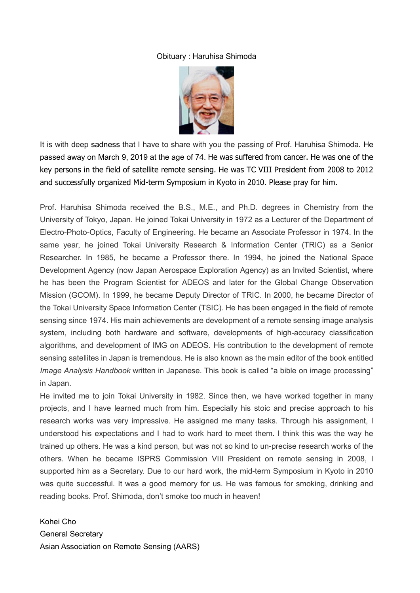## Obituary : Haruhisa Shimoda



It is with deep sadness that I have to share with you the passing of Prof. Haruhisa Shimoda. He passed away on March 9, 2019 at the age of 74. He was suffered from cancer. He was one of the key persons in the field of satellite remote sensing. He was TC VIII President from 2008 to 2012 and successfully organized Mid-term Symposium in Kyoto in 2010. Please pray for him.

Prof. Haruhisa Shimoda received the B.S., M.E., and Ph.D. degrees in Chemistry from the University of Tokyo, Japan. He joined Tokai University in 1972 as a Lecturer of the Department of Electro-Photo-Optics, Faculty of Engineering. He became an Associate Professor in 1974. In the same year, he joined Tokai University Research & Information Center (TRIC) as a Senior Researcher. In 1985, he became a Professor there. In 1994, he joined the National Space Development Agency (now Japan Aerospace Exploration Agency) as an Invited Scientist, where he has been the Program Scientist for ADEOS and later for the Global Change Observation Mission (GCOM). In 1999, he became Deputy Director of TRIC. In 2000, he became Director of the Tokai University Space Information Center (TSIC). He has been engaged in the field of remote sensing since 1974. His main achievements are development of a remote sensing image analysis system, including both hardware and software, developments of high-accuracy classification algorithms, and development of IMG on ADEOS. His contribution to the development of remote sensing satellites in Japan is tremendous. He is also known as the main editor of the book entitled *Image Analysis Handbook* written in Japanese. This book is called "a bible on image processing" in Japan.

He invited me to join Tokai University in 1982. Since then, we have worked together in many projects, and I have learned much from him. Especially his stoic and precise approach to his research works was very impressive. He assigned me many tasks. Through his assignment, I understood his expectations and I had to work hard to meet them. I think this was the way he trained up others. He was a kind person, but was not so kind to un-precise research works of the others. When he became ISPRS Commission VIII President on remote sensing in 2008, I supported him as a Secretary. Due to our hard work, the mid-term Symposium in Kyoto in 2010 was quite successful. It was a good memory for us. He was famous for smoking, drinking and reading books. Prof. Shimoda, don't smoke too much in heaven!

Kohei Cho General Secretary Asian Association on Remote Sensing (AARS)